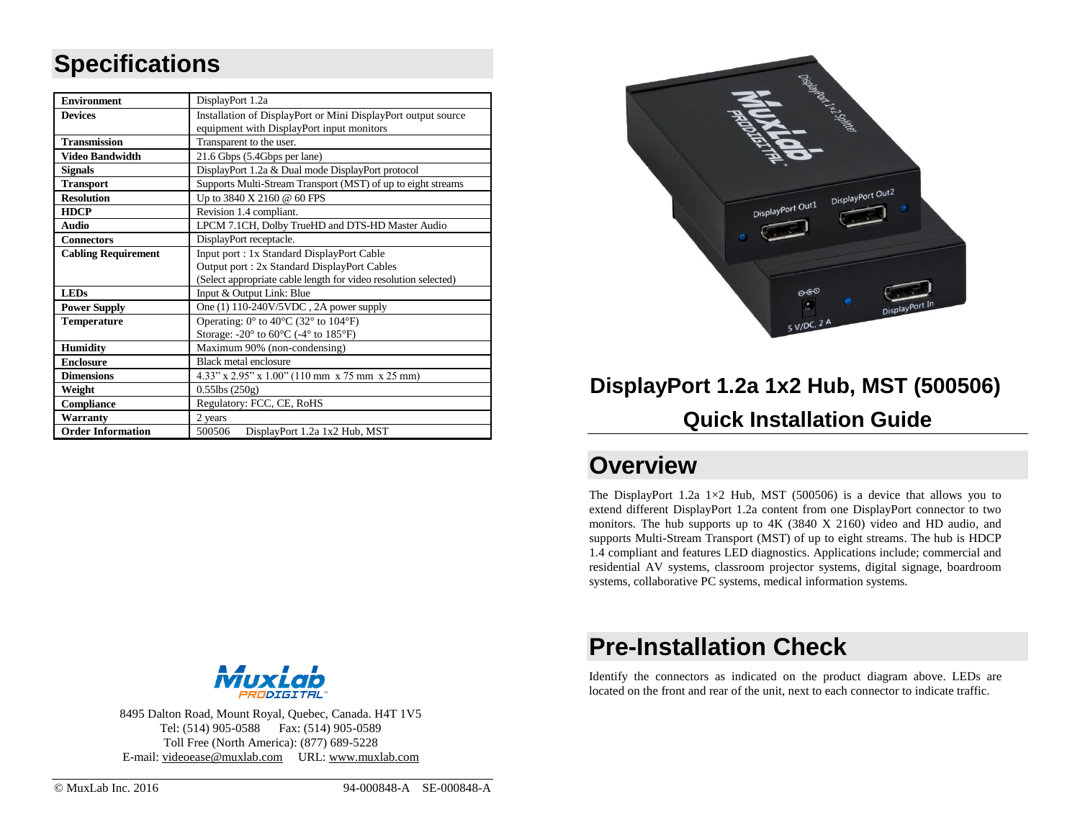### **Specifications**

| <b>Environment</b>         | DisplayPort 1.2a                                                                           |  |  |
|----------------------------|--------------------------------------------------------------------------------------------|--|--|
| <b>Devices</b>             | Installation of DisplayPort or Mini DisplayPort output source                              |  |  |
|                            | equipment with DisplayPort input monitors                                                  |  |  |
| <b>Transmission</b>        | Transparent to the user.                                                                   |  |  |
| <b>Video Bandwidth</b>     | 21.6 Gbps (5.4Gbps per lane)                                                               |  |  |
| <b>Signals</b>             | DisplayPort 1.2a & Dual mode DisplayPort protocol                                          |  |  |
| <b>Transport</b>           | Supports Multi-Stream Transport (MST) of up to eight streams                               |  |  |
| <b>Resolution</b>          | Up to 3840 X 2160 @ 60 FPS                                                                 |  |  |
| <b>HDCP</b>                | Revision 1.4 compliant.                                                                    |  |  |
| <b>Audio</b>               | LPCM 7.1CH, Dolby TrueHD and DTS-HD Master Audio                                           |  |  |
| <b>Connectors</b>          | DisplayPort receptacle.                                                                    |  |  |
| <b>Cabling Requirement</b> | Input port: 1x Standard DisplayPort Cable                                                  |  |  |
|                            | Output port: 2x Standard DisplayPort Cables                                                |  |  |
|                            | (Select appropriate cable length for video resolution selected)                            |  |  |
| <b>LEDs</b>                | Input & Output Link: Blue                                                                  |  |  |
| <b>Power Supply</b>        | One $(1)$ 110-240V/5VDC, 2A power supply                                                   |  |  |
| <b>Temperature</b>         | Operating: $0^{\circ}$ to $40^{\circ}$ C (32° to 104°F)                                    |  |  |
|                            | Storage: -20 $\textdegree$ to 60 $\textdegree$ C (-4 $\textdegree$ to 185 $\textdegree$ F) |  |  |
| <b>Humidity</b>            | Maximum 90% (non-condensing)                                                               |  |  |
| <b>Enclosure</b>           | Black metal enclosure                                                                      |  |  |
| <b>Dimensions</b>          | $4.33''$ x $2.95''$ x $1.00''$ (110 mm x 75 mm x 25 mm)                                    |  |  |
| Weight                     | $0.55$ lbs $(250g)$                                                                        |  |  |
| <b>Compliance</b>          | Regulatory: FCC, CE, RoHS                                                                  |  |  |
| Warranty                   | 2 years                                                                                    |  |  |
| <b>Order Information</b>   | 500506<br>DisplayPort 1.2a 1x2 Hub, MST                                                    |  |  |



# **DisplayPort 1.2a 1x2 Hub, MST (500506) Quick Installation Guide**

#### **Overview**

The DisplayPort 1.2a  $1\times2$  Hub, MST (500506) is a device that allows you to extend different DisplayPort 1.2a content from one DisplayPort connector to two monitors. The hub supports up to 4K (3840 X 2160) video and HD audio, and supports Multi-Stream Transport (MST) of up to eight streams. The hub is HDCP 1.4 compliant and features LED diagnostics. Applications include; commercial and residential AV systems, classroom projector systems, digital signage, boardroom systems, collaborative PC systems, medical information systems.

#### **Pre-Installation Check**

Identify the connectors as indicated on the product diagram above. LEDs are located on the front and rear of the unit, next to each connector to indicate traffic.



8495 Dalton Road, Mount Royal, Quebec, Canada. H4T 1V5 Tel: (514) 905-0588 Fax: (514) 905-0589 Toll Free (North America): (877) 689-5228 E-mail: [videoease@muxlab.com](mailto:videoease@muxlab.com) URL[: www.muxlab.com](file://///Nase86c96/data/R&D/PROJECT/ODM/GoMax/Muxlab%20Product/M500425%20-%20HDMI%201X2%20Splitter%204K-60/Documentation/Original%20Documents/www.muxlab.com)